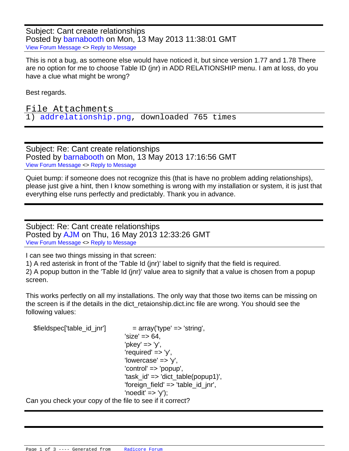Subject: Cant create relationships Posted by [barnabooth](index.php?t=usrinfo&id=223) on Mon, 13 May 2013 11:38:01 GMT [View Forum Message](index.php?t=rview&th=868&goto=3736#msg_3736) <> [Reply to Message](index.php?t=post&reply_to=3736)

This is not a bug, as someone else would have noticed it, but since version 1.77 and 1.78 There are no option for me to choose Table ID (jnr) in ADD RELATIONSHIP menu. I am at loss, do you have a clue what might be wrong?

Best regards.

File Attachments 1) [addrelationship.png](index.php?t=getfile&id=273), downloaded 765 times

Subject: Re: Cant create relationships Posted by [barnabooth](index.php?t=usrinfo&id=223) on Mon, 13 May 2013 17:16:56 GMT [View Forum Message](index.php?t=rview&th=868&goto=3737#msg_3737) <> [Reply to Message](index.php?t=post&reply_to=3737)

Quiet bump: if someone does not recognize this (that is have no problem adding relationships), please just give a hint, then I know something is wrong with my installation or system, it is just that everything else runs perfectly and predictably. Thank you in advance.

Subject: Re: Cant create relationships Posted by [AJM](index.php?t=usrinfo&id=3) on Thu, 16 May 2013 12:33:26 GMT [View Forum Message](index.php?t=rview&th=868&goto=3738#msg_3738) <> [Reply to Message](index.php?t=post&reply_to=3738)

I can see two things missing in that screen:

1) A red asterisk in front of the 'Table Id (jnr)' label to signify that the field is required. 2) A popup button in the 'Table Id (jnr)' value area to signify that a value is chosen from a popup screen.

This works perfectly on all my installations. The only way that those two items can be missing on the screen is if the details in the dict retaionship.dict.inc file are wrong. You should see the following values:

 \$fieldspec['table\_id\_jnr'] = array('type' => 'string',  $"size' => 64.$  'pkey' => 'y',  $'$ required' =>  $'y'$ , 'lowercase' => 'y', 'control' => 'popup', 'task  $id' \Rightarrow$  'dict table(popup1)', 'foreign\_field' => 'table\_id\_jnr',  $'$ noedit' =>  $'v$ ');

Can you check your copy of the file to see if it correct?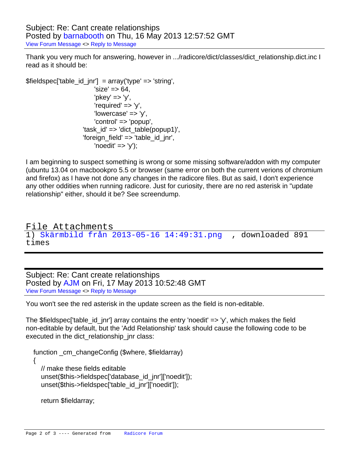Subject: Re: Cant create relationships Posted by [barnabooth](index.php?t=usrinfo&id=223) on Thu, 16 May 2013 12:57:52 GMT [View Forum Message](index.php?t=rview&th=868&goto=3739#msg_3739) <> [Reply to Message](index.php?t=post&reply_to=3739)

Thank you very much for answering, however in .../radicore/dict/classes/dict\_relationship.dict.inc I read as it should be:

\$fieldspec['table\_id\_jnr'] = array('type' => 'string',  $'size' => 64$ , 'pkey' => 'y', 'required'  $=> 'y'$ ,  $'lowercase' => 'v'.$  'control' => 'popup', 'task  $id' \Rightarrow$  'dict table(popup1)', 'foreign\_field' => 'table\_id\_jnr',  $'noedit' => 'y'$ );

I am beginning to suspect something is wrong or some missing software/addon with my computer (ubuntu 13.04 on macbookpro 5.5 or browser (same error on both the current verions of chromium and firefox) as I have not done any changes in the radicore files. But as said, I don't experience any other oddities when running radicore. Just for curiosity, there are no red asterisk in "update relationship" either, should it be? See screendump.

File Attachments 1) [Skärmbild från 2013-05-16 14:49:31.png](index.php?t=getfile&id=274) , downloaded 891 times

Subject: Re: Cant create relationships Posted by [AJM](index.php?t=usrinfo&id=3) on Fri, 17 May 2013 10:52:48 GMT [View Forum Message](index.php?t=rview&th=868&goto=3742#msg_3742) <> [Reply to Message](index.php?t=post&reply_to=3742)

You won't see the red asterisk in the update screen as the field is non-editable.

The  $$fieldspec['tableid$  id  $jnr'$ ] array contains the entry 'noedit'  $\Rightarrow$  'y', which makes the field non-editable by default, but the 'Add Relationship' task should cause the following code to be executed in the dict relationship jnr class:

function \_cm\_changeConfig (\$where, \$fieldarray)

 // make these fields editable unset(\$this->fieldspec['database\_id\_jnr']['noedit']); unset(\$this->fieldspec['table\_id\_jnr']['noedit']);

return \$fieldarray;

{